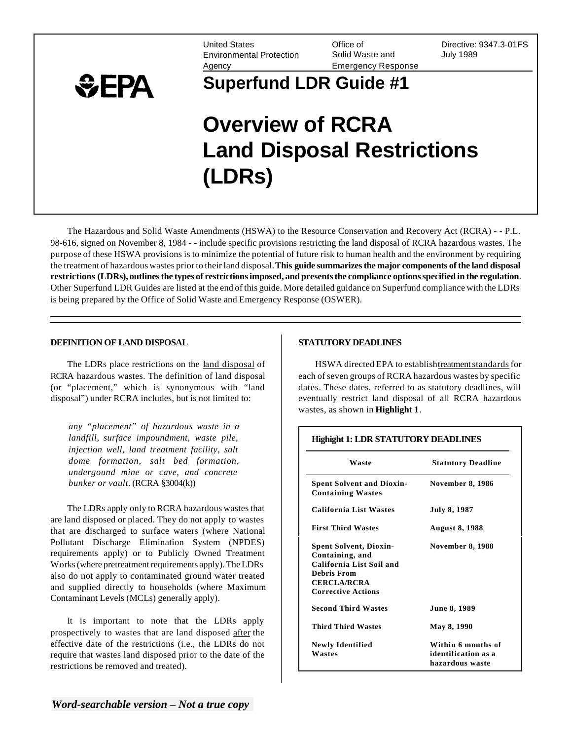Environmental Protection Solid Waste and July 1989 Agency Emergency Response

United States Office of Directive: 9347.3-01FS



# **Superfund LDR Guide #1**

# **Overview of RCRA Land Disposal Restrictions (LDRs)**

The Hazardous and Solid Waste Amendments (HSWA) to the Resource Conservation and Recovery Act (RCRA) - - P.L. 98-616, signed on November 8, 1984 - - include specific provisions restricting the land disposal of RCRA hazardous wastes. The purpose of these HSWA provisions is to minimize the potential of future risk to human health and the environment by requiring the treatment of hazardous wastes prior to their land disposal. **This guide summarizes the major components of the land disposal restrictions (LDRs), outlines the types of restrictions imposed, and presents the compliance options specified in the regulation**. Other Superfund LDR Guides are listed at the end of this guide. More detailed guidance on Superfund compliance with the LDRs is being prepared by the Office of Solid Waste and Emergency Response (OSWER).

#### **DEFINITION OF LAND DISPOSAL**

The LDRs place restrictions on the land disposal of RCRA hazardous wastes. The definition of land disposal (or "placement," which is synonymous with "land disposal") under RCRA includes, but is not limited to:

*any "placement" of hazardous waste in a landfill, surface impoundment, waste pile, injection well, land treatment facility, salt dome formation, salt bed formation, undergound mine or cave, and concrete bunker or vault.* (RCRA §3004(k))

The LDRs apply only to RCRA hazardous wastes that are land disposed or placed. They do not apply to wastes that are discharged to surface waters (where National Pollutant Discharge Elimination System (NPDES) requirements apply) or to Publicly Owned Treatment Works (where pretreatment requirements apply). The LDRs also do not apply to contaminated ground water treated and supplied directly to households (where Maximum Contaminant Levels (MCLs) generally apply).

It is important to note that the LDRs apply prospectively to wastes that are land disposed after the effective date of the restrictions (i.e., the LDRs do not require that wastes land disposed prior to the date of the restrictions be removed and treated).

## **STATUTORY DEADLINES**

HSWA directed EPA to establishtreatment standards for each of seven groups of RCRA hazardous wastes by specific dates. These dates, referred to as statutory deadlines, will eventually restrict land disposal of all RCRA hazardous wastes, as shown in **Highlight 1**.

| Highight 1: LDR STATUTORY DEADLINES                                                                                                            |                                                              |
|------------------------------------------------------------------------------------------------------------------------------------------------|--------------------------------------------------------------|
| Waste                                                                                                                                          | <b>Statutory Deadline</b>                                    |
| <b>Spent Solvent and Dioxin-</b><br><b>Containing Wastes</b>                                                                                   | <b>November 8, 1986</b>                                      |
| California List Wastes                                                                                                                         | <b>July 8, 1987</b>                                          |
| <b>First Third Wastes</b>                                                                                                                      | <b>August 8, 1988</b>                                        |
| <b>Spent Solvent, Dioxin-</b><br>Containing, and<br>California List Soil and<br>Debris From<br><b>CERCLA/RCRA</b><br><b>Corrective Actions</b> | <b>November 8, 1988</b>                                      |
| <b>Second Third Wastes</b>                                                                                                                     | <b>June 8, 1989</b>                                          |
| Third Third Wastes                                                                                                                             | May 8, 1990                                                  |
| <b>Newly Identified</b><br>Wastes                                                                                                              | Within 6 months of<br>identification as a<br>hazardous waste |

*Word-searchable version – Not a true copy*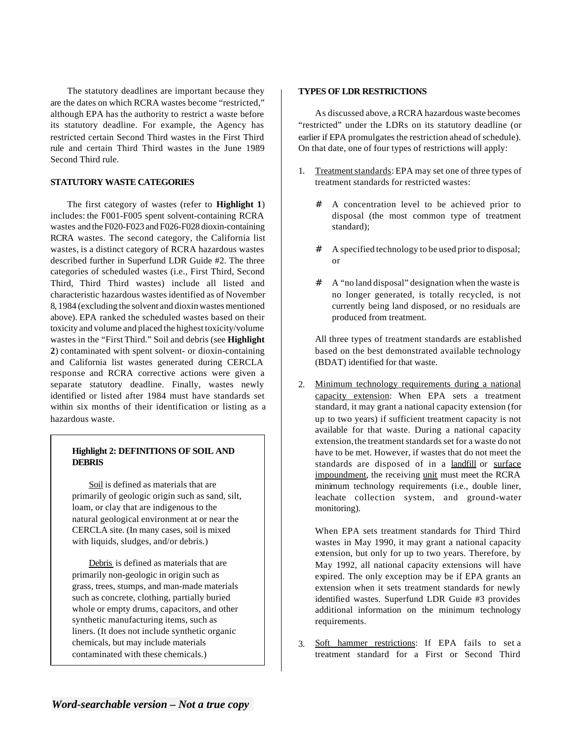The statutory deadlines are important because they are the dates on which RCRA wastes become "restricted," although EPA has the authority to restrict a waste before its statutory deadline. For example, the Agency has restricted certain Second Third wastes in the First Third rule and certain Third Third wastes in the June 1989 Second Third rule.

## **STATUTORY WASTE CATEGORIES**

The first category of wastes (refer to **Highlight 1**) includes: the F001-F005 spent solvent-containing RCRA wastes and the F020-F023 and F026-F028 dioxin-containing RCRA wastes. The second category, the California list wastes, is a distinct category of RCRA hazardous wastes described further in Superfund LDR Guide #2. The three categories of scheduled wastes (i.e., First Third, Second Third, Third Third wastes) include all listed and characteristic hazardous wastes identified as of November 8, 1984 (excluding the solvent and dioxin wastes mentioned above). EPA ranked the scheduled wastes based on their toxicity and volume and placed the highest toxicity/volume wastes in the "First Third." Soil and debris (see **Highlight 2**) contaminated with spent solvent- or dioxin-containing and California list wastes generated during CERCLA response and RCRA corrective actions were given a separate statutory deadline. Finally, wastes newly identified or listed after 1984 must have standards set within six months of their identification or listing as a hazardous waste.

# **Highlight 2: DEFINITIONS OF SOIL AND DEBRIS**

Soil is defined as materials that are primarily of geologic origin such as sand, silt, loam, or clay that are indigenous to the natural geological environment at or near the CERCLA site. (In many cases, soil is mixed with liquids, sludges, and/or debris.)

Debris is defined as materials that are primarily non-geologic in origin such as grass, trees, stumps, and man-made materials such as concrete, clothing, partially buried whole or empty drums, capacitors, and other synthetic manufacturing items, such as liners. (It does not include synthetic organic chemicals, but may include materials contaminated with these chemicals.)

#### **TYPES OF LDR RESTRICTIONS**

As discussed above, a RCRA hazardous waste becomes "restricted" under the LDRs on its statutory deadline (or earlier if EPA promulgates the restriction ahead of schedule). On that date, one of four types of restrictions will apply:

- 1. Treatment standards: EPA may set one of three types of treatment standards for restricted wastes:
	- # A concentration level to be achieved prior to disposal (the most common type of treatment standard);
	- # A specified technology to be used prior to disposal; or
	- # A "no land disposal" designation when the waste is no longer generated, is totally recycled, is not currently being land disposed, or no residuals are produced from treatment.

All three types of treatment standards are established based on the best demonstrated available technology (BDAT) identified for that waste.

2. Minimum technology requirements during a national capacity extension: When EPA sets a treatment standard, it may grant a national capacity extension (for up to two years) if sufficient treatment capacity is not available for that waste. During a national capacity extension, the treatment standards set for a waste do not have to be met. However, if wastes that do not meet the standards are disposed of in a landfill or surface impoundment, the receiving unit must meet the RCRA minimum technology requirements (i.e., double liner, leachate collection system, and ground-water monitoring).

When EPA sets treatment standards for Third Third wastes in May 1990, it may grant a national capacity extension, but only for up to two years. Therefore, by May 1992, all national capacity extensions will have expired. The only exception may be if EPA grants an extension when it sets treatment standards for newly identified wastes. Superfund LDR Guide #3 provides additional information on the minimum technology requirements.

3. Soft hammer restrictions: If EPA fails to set a treatment standard for a First or Second Third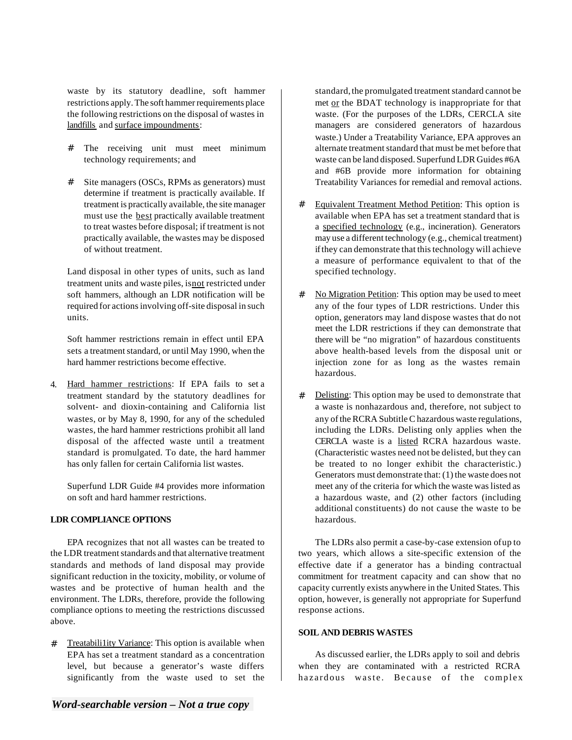waste by its statutory deadline, soft hammer restrictions apply. The soft hammer requirements place the following restrictions on the disposal of wastes in landfills and surface impoundments:

- # The receiving unit must meet minimum technology requirements; and
- # Site managers (OSCs, RPMs as generators) must determine if treatment is practically available. If treatment is practically available, the site manager must use the **best** practically available treatment to treat wastes before disposal; if treatment is not practically available, the wastes may be disposed of without treatment.

Land disposal in other types of units, such as land treatment units and waste piles, isnot restricted under soft hammers, although an LDR notification will be required for actions involving off-site disposal in such units.

Soft hammer restrictions remain in effect until EPA sets a treatment standard, or until May 1990, when the hard hammer restrictions become effective.

4. Hard hammer restrictions: If EPA fails to set a treatment standard by the statutory deadlines for solvent- and dioxin-containing and California list wastes, or by May 8, 1990, for any of the scheduled wastes, the hard hammer restrictions prohibit all land disposal of the affected waste until a treatment standard is promulgated. To date, the hard hammer has only fallen for certain California list wastes.

Superfund LDR Guide #4 provides more information on soft and hard hammer restrictions.

#### **LDR COMPLIANCE OPTIONS**

EPA recognizes that not all wastes can be treated to the LDR treatment standards and that alternative treatment standards and methods of land disposal may provide significant reduction in the toxicity, mobility, or volume of wastes and be protective of human health and the environment. The LDRs, therefore, provide the following compliance options to meeting the restrictions discussed above.

# Treatabili1ity Variance: This option is available when EPA has set a treatment standard as a concentration level, but because a generator's waste differs significantly from the waste used to set the standard, the promulgated treatment standard cannot be met or the BDAT technology is inappropriate for that waste. (For the purposes of the LDRs, CERCLA site managers are considered generators of hazardous waste.) Under a Treatability Variance, EPA approves an alternate treatment standard that must be met before that waste can be land disposed. Superfund LDR Guides #6A and #6B provide more information for obtaining Treatability Variances for remedial and removal actions.

- # Equivalent Treatment Method Petition: This option is available when EPA has set a treatment standard that is a specified technology (e.g., incineration). Generators may use a different technology (e.g., chemical treatment) if they can demonstrate that this technology will achieve a measure of performance equivalent to that of the specified technology.
- # No Migration Petition: This option may be used to meet any of the four types of LDR restrictions. Under this option, generators may land dispose wastes that do not meet the LDR restrictions if they can demonstrate that there will be "no migration" of hazardous constituents above health-based levels from the disposal unit or injection zone for as long as the wastes remain hazardous.
- # Delisting: This option may be used to demonstrate that a waste is nonhazardous and, therefore, not subject to any of the RCRA Subtitle C hazardous waste regulations, including the LDRs. Delisting only applies when the CERCLA waste is a listed RCRA hazardous waste. (Characteristic wastes need not be delisted, but they can be treated to no longer exhibit the characteristic.) Generators must demonstrate that: (1) the waste does not meet any of the criteria for which the waste was listed as a hazardous waste, and (2) other factors (including additional constituents) do not cause the waste to be hazardous.

The LDRs also permit a case-by-case extension of up to two years, which allows a site-specific extension of the effective date if a generator has a binding contractual commitment for treatment capacity and can show that no capacity currently exists anywhere in the United States. This option, however, is generally not appropriate for Superfund response actions.

#### **SOIL AND DEBRIS WASTES**

As discussed earlier, the LDRs apply to soil and debris when they are contaminated with a restricted RCRA hazardous waste. Because of the complex